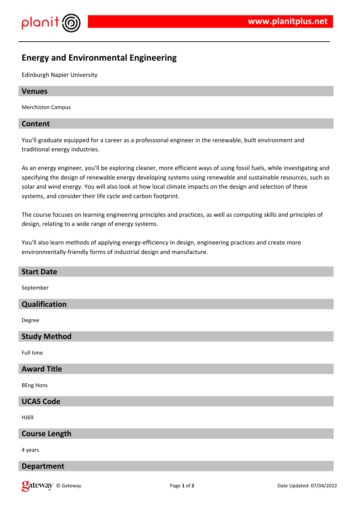

# **Energy and Environmental Engineering**

Edinburgh Napier University

# **Venues**

Merchiston Campus

# **Content**

You'll graduate equipped for a career as a professional engineer in the renewable, built environment and traditional energy industries.

As an energy engineer, you'll be exploring cleaner, more efficient ways of using fossil fuels, while investigating and specifying the design of renewable energy developing systems using renewable and sustainable resources, such as solar and wind energy. You will also look at how local climate impacts on the design and selection of these systems, and consider their life cycle and carbon footprint.

The course focuses on learning engineering principles and practices, as well as computing skills and principles of design, relating to a wide range of energy systems.

You'll also learn methods of applying energy-efficiency in design, engineering practices and create more environmentally-friendly forms of industrial design and manufacture.

| <b>Start Date</b>    |
|----------------------|
| September            |
| Qualification        |
| Degree               |
| <b>Study Method</b>  |
| Full time            |
| <b>Award Title</b>   |
| <b>BEng Hons</b>     |
| <b>UCAS Code</b>     |
| HJ69                 |
| <b>Course Length</b> |
| 4 years              |
| <b>Department</b>    |
|                      |